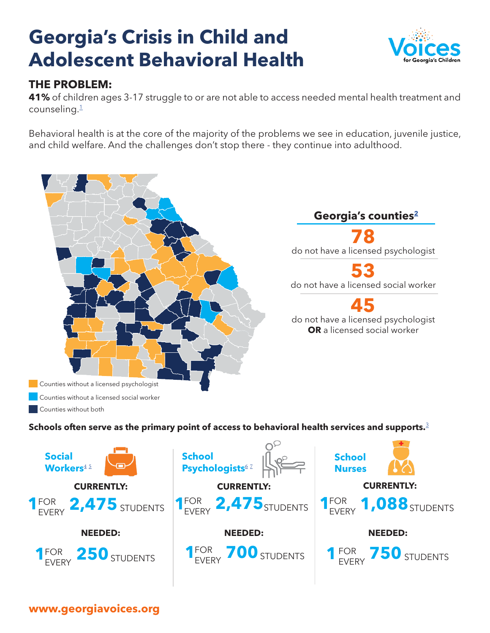# <span id="page-0-0"></span>**Georgia's Crisis in Child and Adolescent Behavioral Health**



## **THE PROBLEM:**

**41%** of children ages 3-17 struggle to or are not able to access needed mental health treatment and counseling. $1$ 

Behavioral health is at the core of the majority of the problems we see in education, juvenile justice, and child welfare. And the challenges don't stop there - they continue into adulthood.



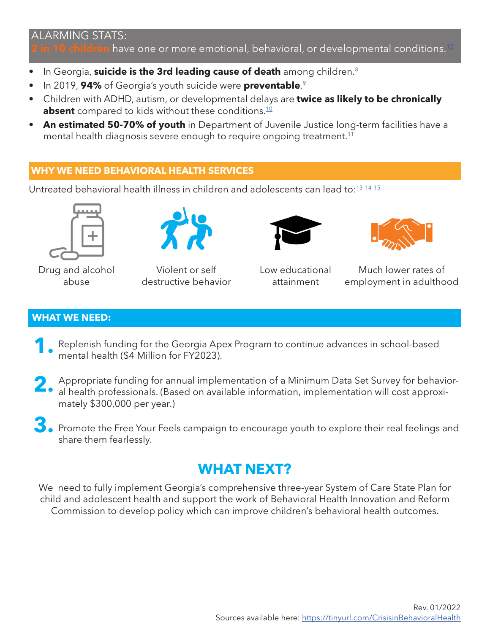### <span id="page-1-0"></span>ALARMING STATS:

**in 10 children** have one or more emotional, behavioral, or developmental conditions.<sup>[12](#page-2-0)</sup>

- **•** In Georgia, **suicide is the 3rd leading cause of death** among children.<sup>[8](#page-2-0)</sup>
- In 2019, **94%** of Georgia's youth suicide were **preventable**. [9](#page-2-0)
- Children with ADHD, autism, or developmental delays are **twice as likely to be chronically absent** compared to kids without these conditions.<sup>10</sup>
- **• An estimated 50-70% of youth** in Department of Juvenile Justice long-term facilities have a mental health diagnosis severe enough to require ongoing treatment. $11$

#### **WHY WE NEED BEHAVIORAL HEALTH SERVICES**

Untreated behavioral health illness in children and adolescents can lead to:<sup>13</sup> <sup>[14](#page-2-0)</sup> <sup>[15](#page-2-0)</sup>



Drug and alcohol abuse



Violent or self destructive behavior





Low educational attainment

Much lower rates of employment in adulthood

#### **WHAT WE NEED:**

- Replenish funding for the Georgia Apex Program to continue advances in school-based mental health (\$4 Million for FY2023). **1.**
- Appropriate funding for annual implementation of a Minimum Data Set Survey for behavioral health professionals. (Based on available information, implementation will cost approxi-<br> **2.** al health professionals. (Based on available information, implementation will cost approximately \$300,000 per year.)
- **3.** Promote the Free Your Feels campaign to encourage youth to explore their real feelings and share them fearlessly.

# **WHAT NEXT?**

We need to fully implement Georgia's comprehensive three-year System of Care State Plan for child and adolescent health and support the work of Behavioral Health Innovation and Reform Commission to develop policy which can improve children's behavioral health outcomes.